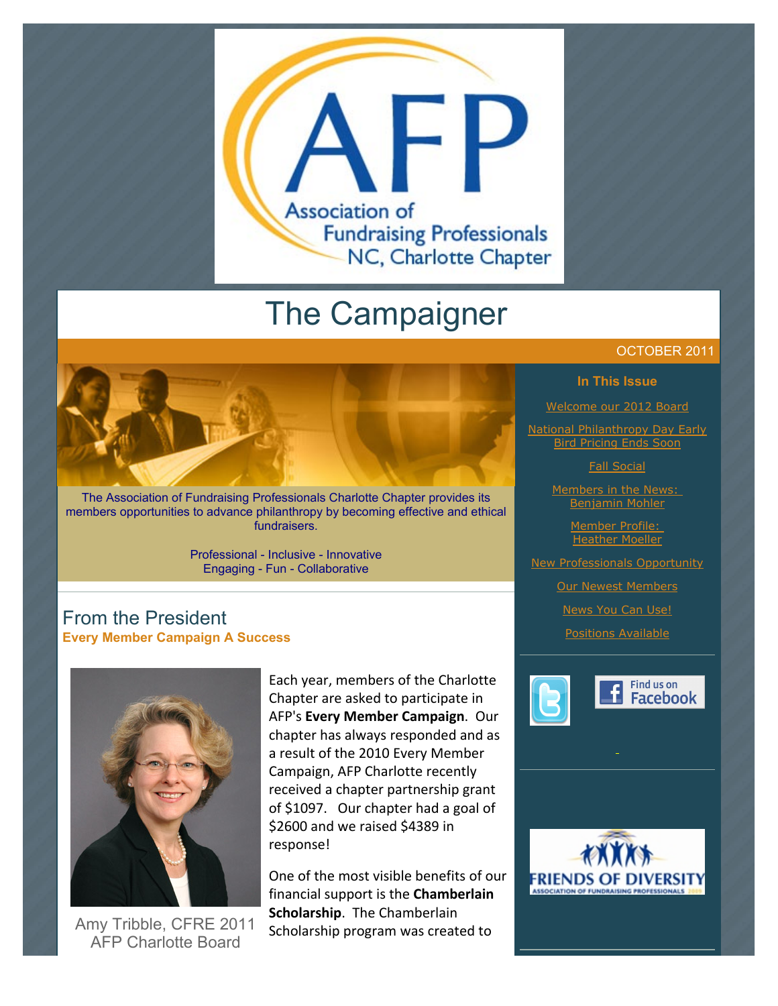

# The Campaigner

The Association of Fundraising Professionals Charlotte Chapter provides its members opportunities to advance philanthropy by becoming effective and ethical fundraisers.

> Professional - Inclusive - Innovative Engaging - Fun - Collaborative

# From the President **Every Member Campaign A Success**



Amy Tribble, CFRE 2011 AFP Charlotte Board

Each year, members of the Charlotte Chapter are asked to participate in AFP's Every Member Campaign. Our chapter has always responded and as a result of the 2010 Every Member Campaign, AFP Charlotte recently received a chapter partnership grant of \$1097. Our chapter had a goal of  $$2600$  and we raised  $$4389$  in response!

One of the most visible benefits of our financial support is the **Chamberlain Scholarship.** The Chamberlain Scholarship program was created to

#### OCTOBER 2011

#### **In This Issue**

[Welcome our 2012 Board](http://archive.constantcontact.com/fs051/1101610725496/archive/1107787727792.html#LETTER.BLOCK11)

**[National Philanthropy Day Early](http://archive.constantcontact.com/fs051/1101610725496/archive/1107787727792.html#LETTER.BLOCK13) Bird Pricing Ends** 

[Fall Social](http://archive.constantcontact.com/fs051/1101610725496/archive/1107787727792.html#LETTER.BLOCK15)

[Members in the News:](http://archive.constantcontact.com/fs051/1101610725496/archive/1107787727792.html#LETTER.BLOCK17)  Benjamin Mohler

> [Member Profile:](http://archive.constantcontact.com/fs051/1101610725496/archive/1107787727792.html#LETTER.BLOCK34)  **Heather Moeller**

[New Professionals Opportunity](http://archive.constantcontact.com/fs051/1101610725496/archive/1107787727792.html#LETTER.BLOCK19)

**[Our Newest Members](http://archive.constantcontact.com/fs051/1101610725496/archive/1107787727792.html#LETTER.BLOCK35)** 

[News You Can Use!](http://archive.constantcontact.com/fs051/1101610725496/archive/1107787727792.html#LETTER.BLOCK21)

[Positions Available](http://archive.constantcontact.com/fs051/1101610725496/archive/1107787727792.html#LETTER.BLOCK31)



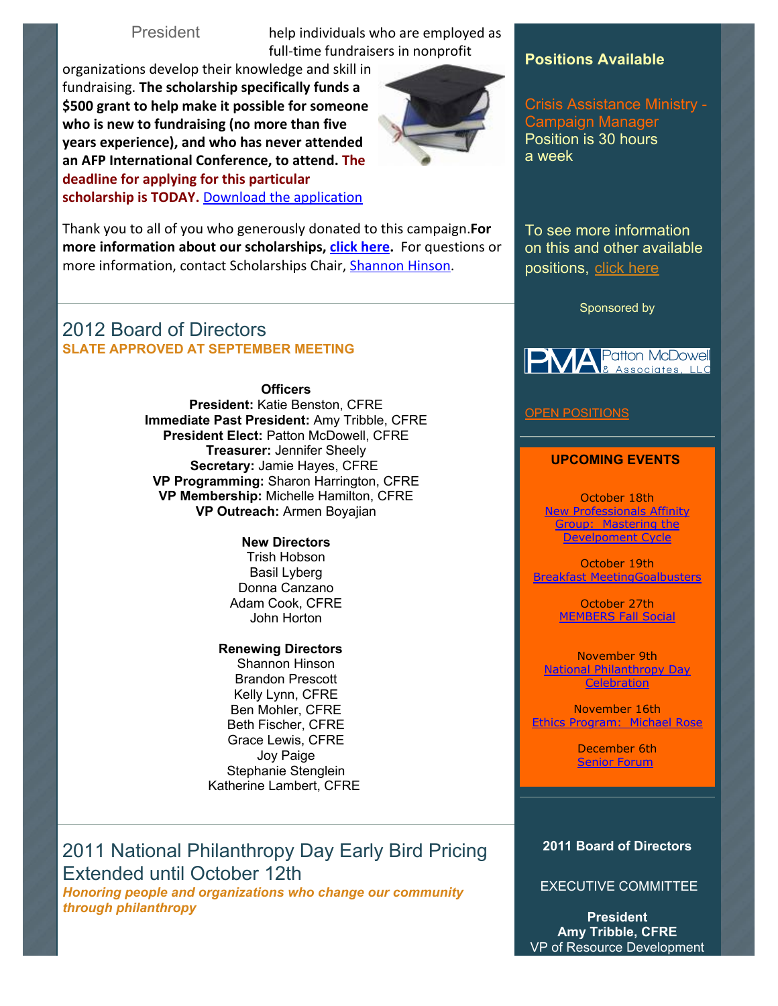President help individuals who are employed as full-time fundraisers in nonprofit

organizations develop their knowledge and skill in fundraising. **The scholarship specifically funds a** \$500 grant to help make it possible for someone who is new to fundraising (no more than five **years experience), and who has never attended** an AFP International Conference, to attend. The deadline for applying for this particular scholarship is TODAY. Download the application



Thank you to all of you who generously donated to this campaign. For **more information about our scholarships, click here.** For questions or more information, contact Scholarships Chair, Shannon Hinson.

# 2012 Board of Directors **SLATE APPROVED AT SEPTEMBER MEETING**

**Officers**

**President:** Katie Benston, CFRE **Immediate Past President:** Amy Tribble, CFRE **President Elect:** Patton McDowell, CFRE **Treasurer:** Jennifer Sheely **Secretary:** Jamie Hayes, CFRE **VP Programming:** Sharon Harrington, CFRE **VP Membership:** Michelle Hamilton, CFRE **VP Outreach:** Armen Boyajian

#### **New Directors** Trish Hobson Basil Lyberg Donna Canzano Adam Cook, CFRE John Horton

**Renewing Directors** Shannon Hinson Brandon Prescott Kelly Lynn, CFRE Ben Mohler, CFRE Beth Fischer, CFRE Grace Lewis, CFRE Joy Paige Stephanie Stenglein Katherine Lambert, CFRE

2011 National Philanthropy Day Early Bird Pricing Extended until October 12th

*Honoring people and organizations who change our community through philanthropy*

### **Positions Available**

Crisis Assistance Ministry - Campaign Manager Position is 30 hours a week

To see more information on this and other available positions, [click here](http://www.afp-charlotte.org/executivereferrals.html)

Sponsored by



#### **[OPEN POSITIONS](http://www.afp-charlotte.org/executivereferrals.html)**

#### **UPCOMING EVENTS**

October 18th [New Professionals Affinity](http://www.afp-charlotte.org/rsvp_details.html?id=3322) Group: Mastering the Develpoment Cycle

October 19th [Breakfast MeetingGoalbusters](http://www.afp-charlotte.org/rsvp_details.html?id=3046)

> October 27th [MEMBERS Fall Social](http://www.afp-charlotte.org/rsvp_details.html?id=3357)

November 9th [National Philanthropy Day](http://www.afp-charlotte.org/rsvp_details.html?id=3284) **Celebration** 

November 16th [Ethics Program: Michael Rose](http://www.afp-charlotte.org/rsvp_details.html?id=3047)

> December 6th [Senior Forum](http://www.afp-charlotte.org/rsvp_details.html?id=3334)

#### **2011 Board of Directors**

EXECUTIVE COMMITTEE

**President Amy Tribble, CFRE** VP of Resource Development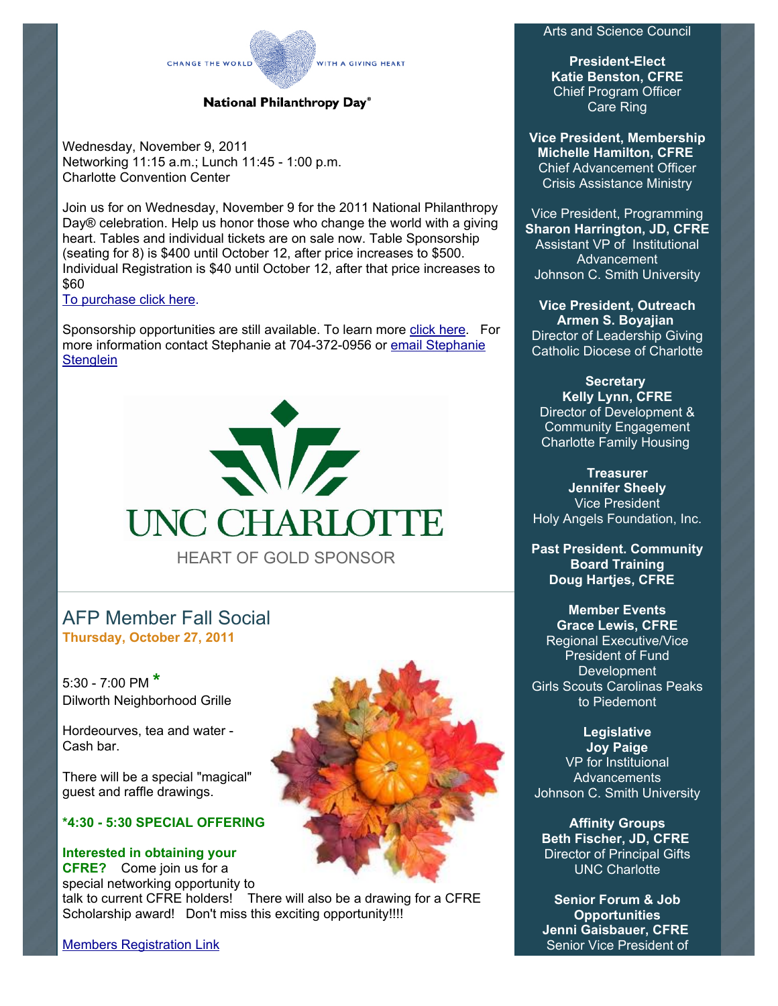#### Arts and Science Council

**President-Elect Katie Benston, CFRE** Chief Program Officer Care Ring

**Vice President, Membership Michelle Hamilton, CFRE** Chief Advancement Officer Crisis Assistance Ministry

Vice President, Programming **Sharon Harrington, JD, CFRE** Assistant VP of Institutional Advancement Johnson C. Smith University

**Vice President, Outreach Armen S. Boyajian** Director of Leadership Giving Catholic Diocese of Charlotte

**Secretary Kelly Lynn, CFRE** Director of Development & Community Engagement Charlotte Family Housing

**Treasurer Jennifer Sheely** Vice President Holy Angels Foundation, Inc.

**Past President. Community Board Training Doug Hartjes, CFRE**

#### **Member Events Grace Lewis, CFRE** Regional Executive/Vice President of Fund **Development** Girls Scouts Carolinas Peaks to Piedemont

**Legislative Joy Paige** VP for Instituional **Advancements** Johnson C. Smith University

**Affinity Groups Beth Fischer, JD, CFRE** Director of Principal Gifts UNC Charlotte

**Senior Forum & Job Opportunities Jenni Gaisbauer, CFRE** Senior Vice President of

#### National Philanthropy Day®

WITH A GIVING HEART

Wednesday, November 9, 2011 Networking 11:15 a.m.; Lunch 11:45 - 1:00 p.m. Charlotte Convention Center

CHANGE THE WORLD

Join us for on Wednesday, November 9 for the 2011 National Philanthropy Day® celebration. Help us honor those who change the world with a giving heart. Tables and individual tickets are on sale now. Table Sponsorship (seating for 8) is \$400 until October 12, after price increases to \$500. Individual Registration is \$40 until October 12, after that price increases to \$60

[To purchase click here.](http://www.afp-charlotte.org/rsvp_details.html?id=3284)

Sponsorship opportunities are still available. To learn more [click here.](http://www.afp-charlotte.org/npdsponsorship.html) For [more information contact Stephanie at 704-372-0956 or email Stephanie](mailto:stephanie.stenglein@gmail.com) **Stenglein** 



# AFP Member Fall Social **Thursday, October 27, 2011**

5:30 - 7:00 PM **\*** Dilworth Neighborhood Grille

Hordeourves, tea and water - Cash bar.

There will be a special "magical" guest and raffle drawings.

#### **\*4:30 - 5:30 SPECIAL OFFERING**

**Interested in obtaining your CFRE?** Come join us for a special networking opportunity to

talk to current CFRE holders! There will also be a drawing for a CFRE Scholarship award! Don't miss this exciting opportunity!!!!

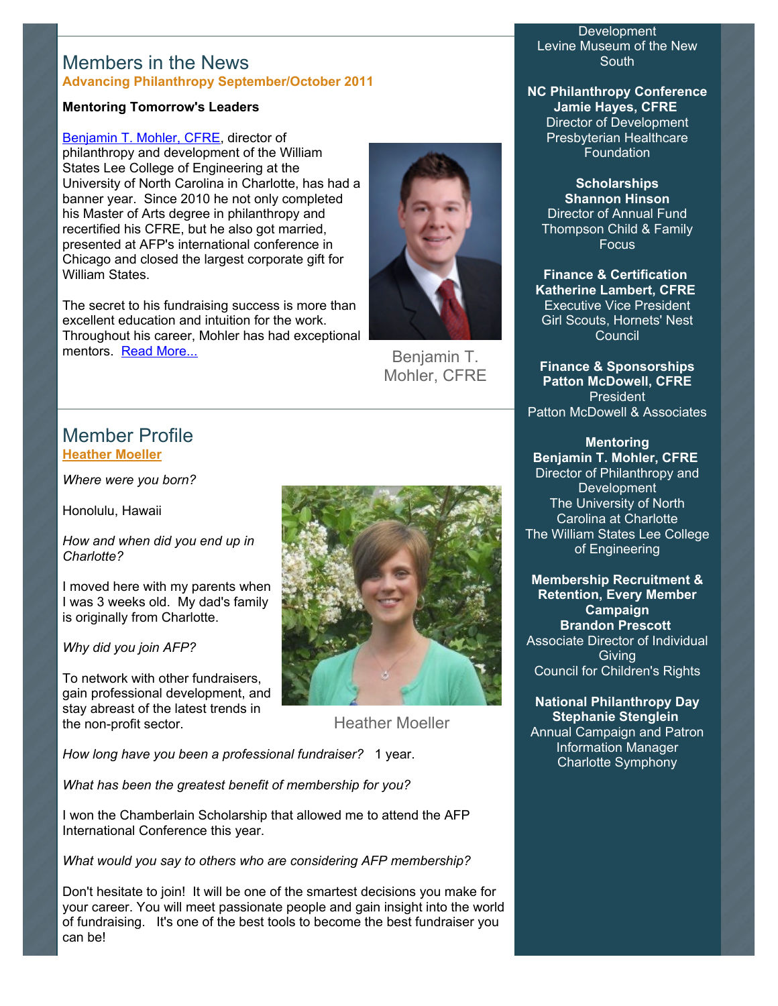## Members in the News **Advancing Philanthropy September/October 2011**

#### **Mentoring Tomorrow's Leaders**

[Benjamin T. Mohler, CFRE,](mailto:ben.mohler@givingthree.org) director of philanthropy and development of the William States Lee College of Engineering at the University of North Carolina in Charlotte, has had a banner year. Since 2010 he not only completed his Master of Arts degree in philanthropy and recertified his CFRE, but he also got married, presented at AFP's international conference in Chicago and closed the largest corporate gift for William States.

The secret to his fundraising success is more than excellent education and intuition for the work. Throughout his career, Mohler has had exceptional mentors. [Read More...](http://www.afp-charlotte.org/customers/102012921065393/filemanager/Advancing_Philanthropy_Sep_Oct_2011_MOHLER.pdf)



Benjamin T. Mohler, CFRE

# Member Profile **[Heather Moeller](mailto:hmoeller@carolinaraptorcenter.org)**

*Where were you born?*

Honolulu, Hawaii

*How and when did you end up in Charlotte?*

I moved here with my parents when I was 3 weeks old. My dad's family is originally from Charlotte.

*Why did you join AFP?*

To network with other fundraisers, gain professional development, and stay abreast of the latest trends in the non-profit sector.



Heather Moeller

*How long have you been a professional fundraiser?* 1 year.

*What has been the greatest benefit of membership for you?*

I won the Chamberlain Scholarship that allowed me to attend the AFP International Conference this year.

*What would you say to others who are considering AFP membership?*

Don't hesitate to join! It will be one of the smartest decisions you make for your career. You will meet passionate people and gain insight into the world of fundraising. It's one of the best tools to become the best fundraiser you can be!

**Development** Levine Museum of the New South

**NC Philanthropy Conference Jamie Hayes, CFRE** Director of Development Presbyterian Healthcare **Foundation** 

**Scholarships Shannon Hinson** Director of Annual Fund Thompson Child & Family Focus

**Finance & Certification Katherine Lambert, CFRE** Executive Vice President Girl Scouts, Hornets' Nest Council

**Finance & Sponsorships Patton McDowell, CFRE** President Patton McDowell & Associates

**Mentoring Benjamin T. Mohler, CFRE** Director of Philanthropy and Development The University of North Carolina at Charlotte The William States Lee College of Engineering

**Membership Recruitment & Retention, Every Member Campaign Brandon Prescott** Associate Director of Individual Giving Council for Children's Rights

**National Philanthropy Day Stephanie Stenglein** Annual Campaign and Patron

Information Manager Charlotte Symphony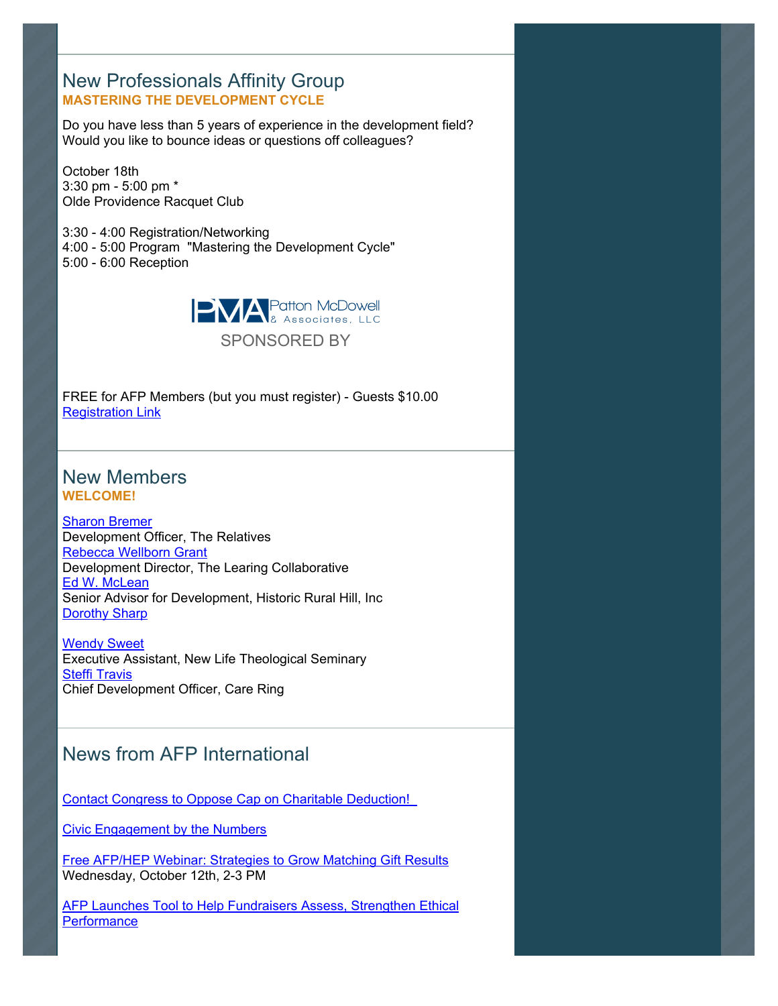# New Professionals Affinity Group **MASTERING THE DEVELOPMENT CYCLE**

Do you have less than 5 years of experience in the development field? Would you like to bounce ideas or questions off colleagues?

October 18th 3:30 pm - 5:00 pm \* Olde Providence Racquet Club

3:30 - 4:00 Registration/Networking 4:00 - 5:00 Program "Mastering the Development Cycle" 5:00 - 6:00 Reception



FREE for AFP Members (but you must register) - Guests \$10.00 [Registration Link](http://www.afp-charlotte.org/rsvp_details.html?id=3322)

# New Members **WELCOME!**

[Sharon Bremer](mailto:sbremer@alexanderyouthnetwork.org) Development Officer, The Relatives [Rebecca Wellborn Grant](mailto:rgrant@tlccharlotte.org) Development Director, The Learing Collaborative [Ed W. McLean](mailto:ed@ruralhill.net) Senior Advisor for Development, Historic Rural Hill, Inc **[Dorothy Sharp](mailto:sharp.leibowitz@gmail.com)** 

**[Wendy Sweet](mailto:wsweet@nlts.edu)** Executive Assistant, New Life Theological Seminary [Steffi Travis](mailto:stravis@careringnc.org) Chief Development Officer, Care Ring

# News from AFP International

[Contact Congress to Oppose Cap on Charitable Deduction!](http://www.afpnet.org/Audiences/PublicPolicyIssueDetail.cfm?ItemNumber=6128) 

[Civic Engagement by the Numbers](http://www.afpnet.org/Audiences/ReportsResearchDetail.cfm?ItemNumber=6039)

[Free AFP/HEP Webinar: Strategies to Grow Matching Gift Results](https://www1.gotomeeting.com/register/224497456)  Wednesday, October 12th, 2-3 PM

**[AFP Launches Tool to Help Fundraisers Assess, Strengthen Ethical](http://www.afpnet.org/Audiences/MemberNewsDetail.cfm?ItemNumber=6126) Performance**